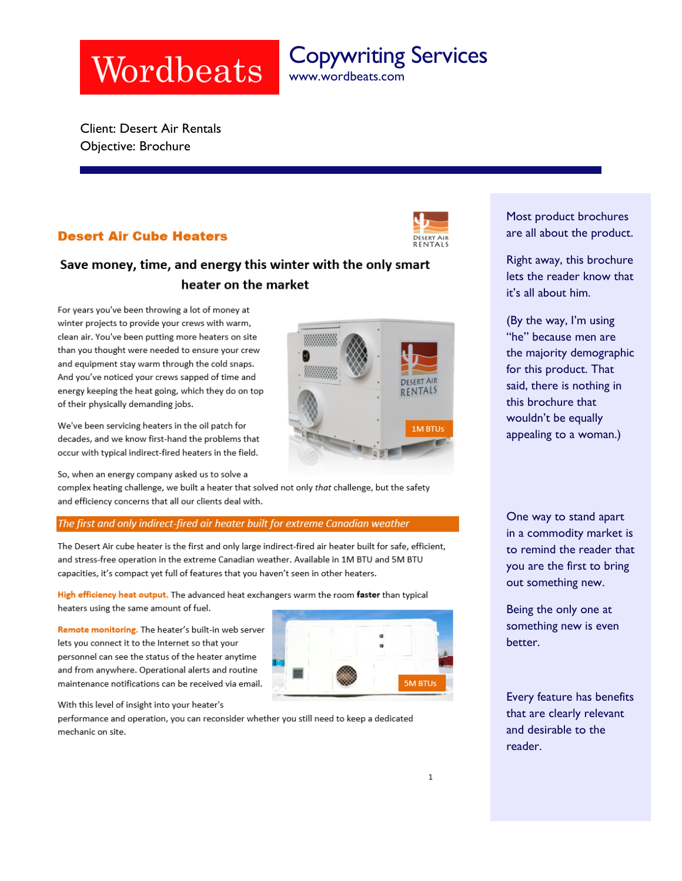# Wordbeats

Copywriting Services www.wordbeats.com

Client: Desert Air Rentals Objective: Brochure

# **Desert Air Cube Heaters**



**FNTALS** 

**IM BTUs** 

# Save money, time, and energy this winter with the only smart heater on the market

For years you've been throwing a lot of money at winter projects to provide your crews with warm, clean air. You've been putting more heaters on site than you thought were needed to ensure your crew and equipment stay warm through the cold snaps. And you've noticed your crews sapped of time and energy keeping the heat going, which they do on top of their physically demanding jobs.

We've been servicing heaters in the oil patch for decades, and we know first-hand the problems that occur with typical indirect-fired heaters in the field.

So, when an energy company asked us to solve a

complex heating challenge, we built a heater that solved not only that challenge, but the safety and efficiency concerns that all our clients deal with.

# The first and only indirect-fired air heater built for extreme Canadian weather

The Desert Air cube heater is the first and only large indirect-fired air heater built for safe, efficient, and stress-free operation in the extreme Canadian weather. Available in 1M BTU and 5M BTU capacities, it's compact yet full of features that you haven't seen in other heaters.

High efficiency heat output. The advanced heat exchangers warm the room faster than typical heaters using the same amount of fuel.

Remote monitoring. The heater's built-in web server lets you connect it to the Internet so that your personnel can see the status of the heater anytime and from anywhere. Operational alerts and routine maintenance notifications can be received via email.



With this level of insight into your heater's

performance and operation, you can reconsider whether you still need to keep a dedicated mechanic on site.

Most product brochures are all about the product.

Right away, this brochure lets the reader know that it's all about him.

(By the way, I'm using "he" because men are the majority demographic for this product. That said, there is nothing in this brochure that wouldn't be equally appealing to a woman.)

One way to stand apart in a commodity market is to remind the reader that you are the first to bring out something new.

Being the only one at something new is even better.

Every feature has benefits that are clearly relevant and desirable to the reader.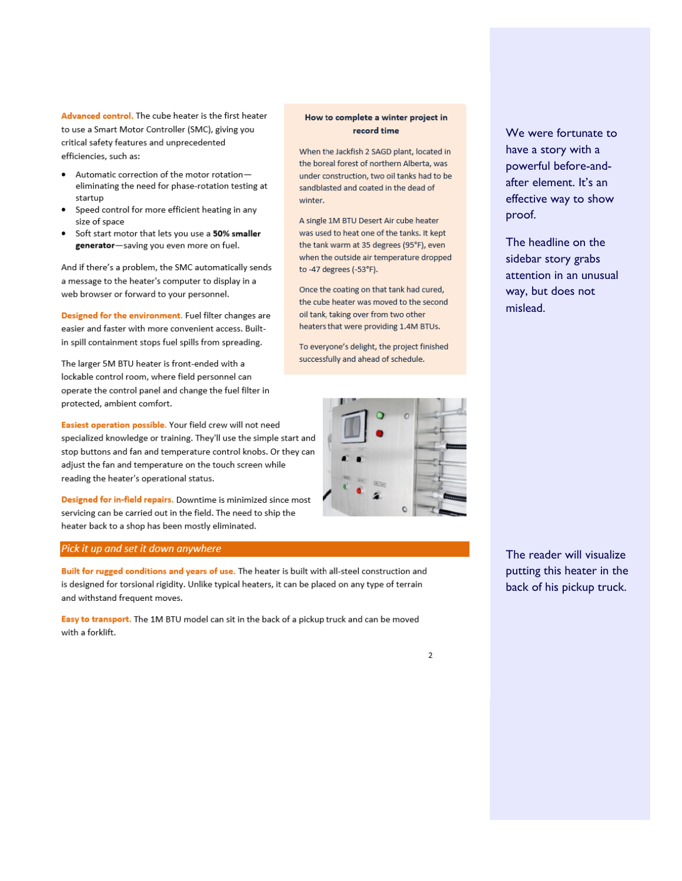Advanced control. The cube heater is the first heater to use a Smart Motor Controller (SMC), giving you critical safety features and unprecedented efficiencies, such as:

- Automatic correction of the motor rotationeliminating the need for phase-rotation testing at startup
- Speed control for more efficient heating in any size of space
- Soft start motor that lets you use a 50% smaller generator-saving you even more on fuel.

And if there's a problem, the SMC automatically sends a message to the heater's computer to display in a web browser or forward to your personnel.

Designed for the environment. Fuel filter changes are easier and faster with more convenient access. Builtin spill containment stops fuel spills from spreading.

The larger 5M BTU heater is front-ended with a lockable control room, where field personnel can operate the control panel and change the fuel filter in protected, ambient comfort.

Easiest operation possible. Your field crew will not need specialized knowledge or training. They'll use the simple start and stop buttons and fan and temperature control knobs. Or they can adjust the fan and temperature on the touch screen while reading the heater's operational status.

Designed for in-field repairs. Downtime is minimized since most servicing can be carried out in the field. The need to ship the heater back to a shop has been mostly eliminated.

## Pick it up and set it down anywhere

Built for rugged conditions and years of use. The heater is built with all-steel construction and is designed for torsional rigidity. Unlike typical heaters, it can be placed on any type of terrain and withstand frequent moves.

Easy to transport. The 1M BTU model can sit in the back of a pickup truck and can be moved with a forklift.

# How to complete a winter project in record time

When the Jackfish 2 SAGD plant, located in the boreal forest of northern Alberta, was under construction, two oil tanks had to be sandblasted and coated in the dead of winter.

A single 1M BTU Desert Air cube heater was used to heat one of the tanks. It kept the tank warm at 35 degrees (95°F), even when the outside air temperature dropped to -47 degrees (-53°F).

Once the coating on that tank had cured, the cube heater was moved to the second oil tank, taking over from two other heaters that were providing 1.4M BTUs.

To everyone's delight, the project finished successfully and ahead of schedule.



We were fortunate to have a story with a powerful before-andafter element. It's an effective way to show proof.

The headline on the sidebar story grabs attention in an unusual way, but does not mislead.

The reader will visualize putting this heater in the back of his pickup truck.

 $\overline{2}$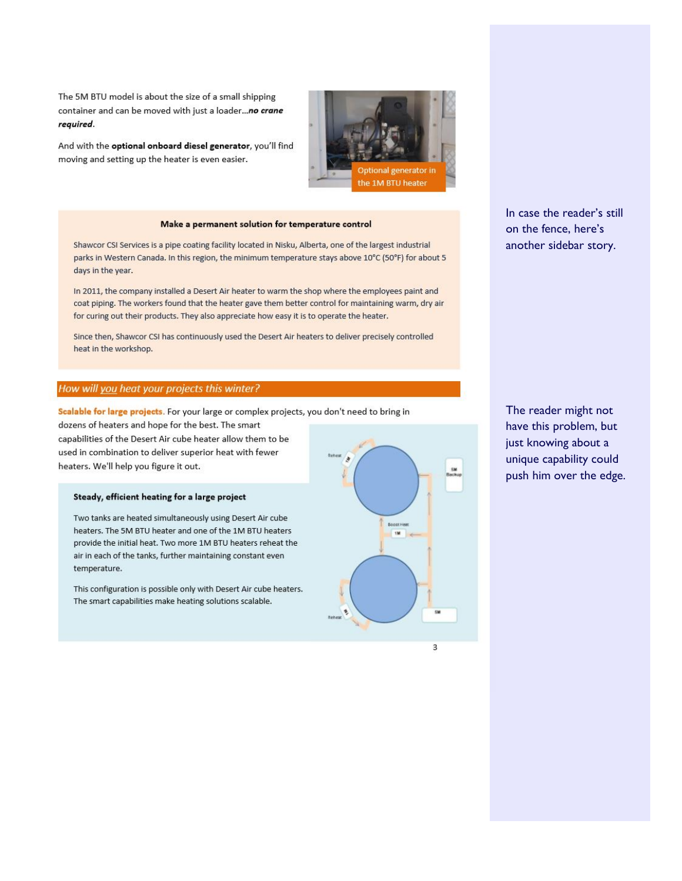The 5M BTU model is about the size of a small shipping container and can be moved with just a loader...no crane required.

And with the optional onboard diesel generator, you'll find moving and setting up the heater is even easier.



#### Make a permanent solution for temperature control

Shawcor CSI Services is a pipe coating facility located in Nisku, Alberta, one of the largest industrial parks in Western Canada. In this region, the minimum temperature stays above 10°C (50°F) for about 5 days in the year.

In 2011, the company installed a Desert Air heater to warm the shop where the employees paint and coat piping. The workers found that the heater gave them better control for maintaining warm, dry air for curing out their products. They also appreciate how easy it is to operate the heater.

Since then, Shawcor CSI has continuously used the Desert Air heaters to deliver precisely controlled heat in the workshop.

## How will you heat your projects this winter?

Scalable for large projects. For your large or complex projects, you don't need to bring in

dozens of heaters and hope for the best. The smart capabilities of the Desert Air cube heater allow them to be used in combination to deliver superior heat with fewer heaters. We'll help you figure it out.

#### Steady, efficient heating for a large project

Two tanks are heated simultaneously using Desert Air cube heaters. The 5M BTU heater and one of the 1M BTU heaters provide the initial heat. Two more 1M BTU heaters reheat the air in each of the tanks, further maintaining constant even temperature.

This configuration is possible only with Desert Air cube heaters. The smart capabilities make heating solutions scalable.



3

In case the reader's still on the fence, here's another sidebar story.

The reader might not have this problem, but just knowing about a unique capability could push him over the edge.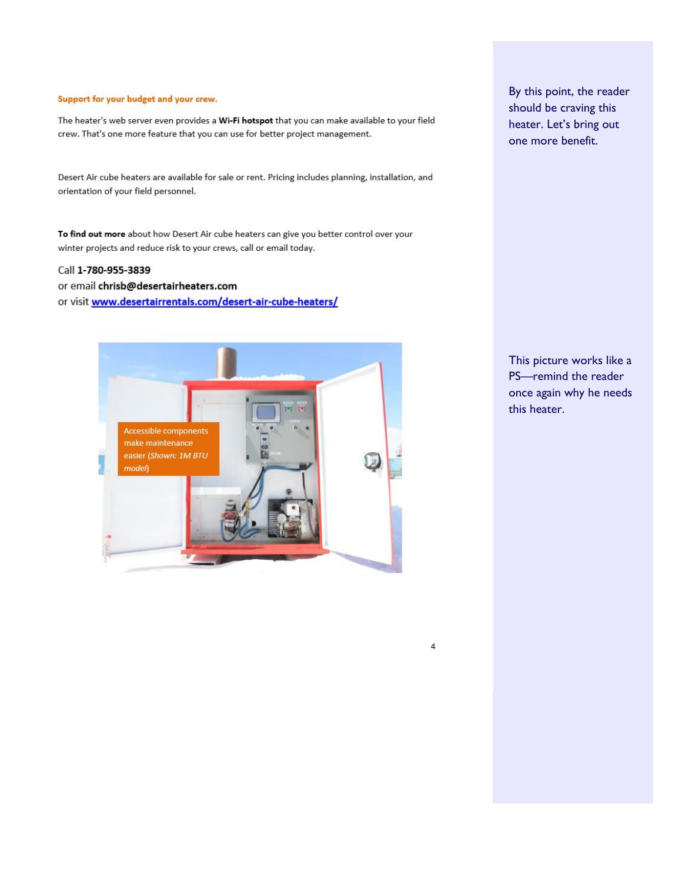## Support for your budget and your crew.

The heater's web server even provides a Wi-Fi hotspot that you can make available to your field crew. That's one more feature that you can use for better project management.

Desert Air cube heaters are available for sale or rent. Pricing includes planning, installation, and orientation of your field personnel.

To find out more about how Desert Air cube heaters can give you better control over your winter projects and reduce risk to your crews, call or email today.

# Call 1-780-955-3839

or email chrisb@desertairheaters.com

or visit www.desertairrentals.com/desert-air-cube-heaters/



By this point, the reader should be craving this heater. Let's bring out one more benefit.

This picture works like a PS-remind the reader once again why he needs this heater.

 $\sqrt{4}$